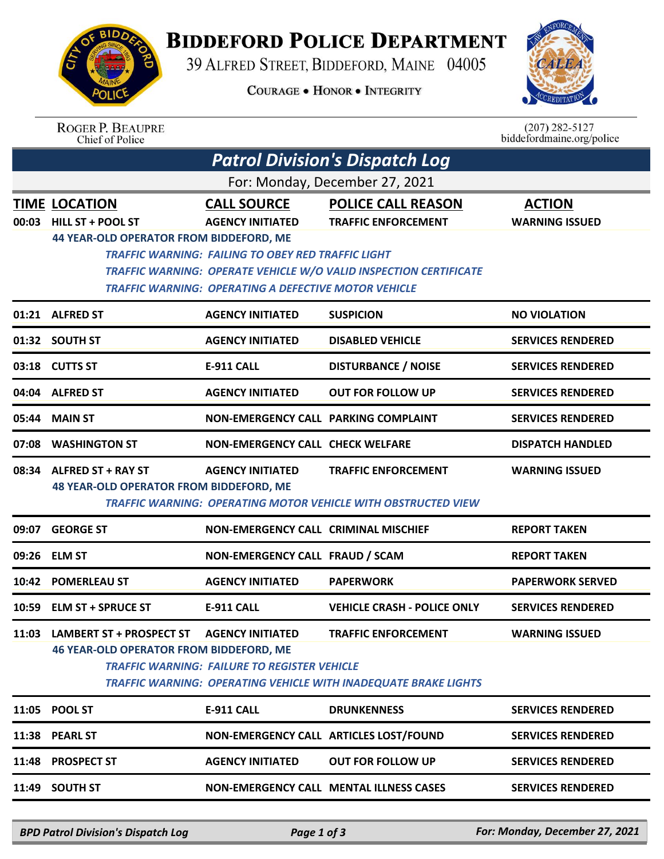

## **BIDDEFORD POLICE DEPARTMENT**

39 ALFRED STREET, BIDDEFORD, MAINE 04005

**COURAGE . HONOR . INTEGRITY** 



| <b>ROGER P. BEAUPRE</b> |
|-------------------------|
| Chief of Police         |

 $(207)$  282-5127<br>biddefordmaine.org/police

| For: Monday, December 27, 2021<br><b>POLICE CALL REASON</b><br><b>TIME LOCATION</b><br><b>ACTION</b><br><b>CALL SOURCE</b><br><b>HILL ST + POOL ST</b><br>00:03<br><b>AGENCY INITIATED</b><br><b>TRAFFIC ENFORCEMENT</b><br><b>WARNING ISSUED</b><br><b>44 YEAR-OLD OPERATOR FROM BIDDEFORD, ME</b><br><b>TRAFFIC WARNING: FAILING TO OBEY RED TRAFFIC LIGHT</b><br>TRAFFIC WARNING: OPERATE VEHICLE W/O VALID INSPECTION CERTIFICATE<br><b>TRAFFIC WARNING: OPERATING A DEFECTIVE MOTOR VEHICLE</b><br><b>AGENCY INITIATED</b><br>01:21 ALFRED ST<br><b>SUSPICION</b><br><b>NO VIOLATION</b><br>01:32 SOUTH ST<br><b>AGENCY INITIATED</b><br><b>DISABLED VEHICLE</b><br><b>SERVICES RENDERED</b><br><b>DISTURBANCE / NOISE</b><br><b>SERVICES RENDERED</b><br>03:18 CUTTS ST<br>E-911 CALL<br>04:04 ALFRED ST<br><b>AGENCY INITIATED</b><br><b>OUT FOR FOLLOW UP</b><br><b>SERVICES RENDERED</b><br>NON-EMERGENCY CALL PARKING COMPLAINT<br><b>SERVICES RENDERED</b><br>05:44 MAIN ST<br>07:08 WASHINGTON ST<br><b>NON-EMERGENCY CALL CHECK WELFARE</b><br><b>DISPATCH HANDLED</b><br>08:34<br><b>ALFRED ST + RAY ST</b><br><b>AGENCY INITIATED</b><br><b>WARNING ISSUED</b><br><b>TRAFFIC ENFORCEMENT</b><br><b>48 YEAR-OLD OPERATOR FROM BIDDEFORD, ME</b><br>TRAFFIC WARNING: OPERATING MOTOR VEHICLE WITH OBSTRUCTED VIEW<br>09:07 GEORGE ST<br><b>NON-EMERGENCY CALL CRIMINAL MISCHIEF</b><br><b>REPORT TAKEN</b><br>09:26 ELM ST<br>NON-EMERGENCY CALL FRAUD / SCAM<br><b>REPORT TAKEN</b><br>10:42 POMERLEAU ST<br><b>AGENCY INITIATED</b><br><b>PAPERWORK</b><br><b>PAPERWORK SERVED</b><br><b>E-911 CALL</b><br><b>VEHICLE CRASH - POLICE ONLY</b><br><b>SERVICES RENDERED</b><br>10:59 ELM ST + SPRUCE ST<br>11:03 LAMBERT ST + PROSPECT ST<br><b>AGENCY INITIATED</b><br><b>TRAFFIC ENFORCEMENT</b><br><b>WARNING ISSUED</b><br><b>46 YEAR-OLD OPERATOR FROM BIDDEFORD, ME</b><br>TRAFFIC WARNING: FAILURE TO REGISTER VEHICLE<br><b>TRAFFIC WARNING: OPERATING VEHICLE WITH INADEQUATE BRAKE LIGHTS</b><br>11:05 POOL ST<br><b>E-911 CALL</b><br><b>SERVICES RENDERED</b><br><b>DRUNKENNESS</b><br>11:38 PEARL ST<br>NON-EMERGENCY CALL ARTICLES LOST/FOUND<br><b>SERVICES RENDERED</b><br>11:48 PROSPECT ST<br><b>AGENCY INITIATED</b><br><b>OUT FOR FOLLOW UP</b><br><b>SERVICES RENDERED</b><br>11:49 SOUTH ST<br><b>NON-EMERGENCY CALL MENTAL ILLNESS CASES</b><br><b>SERVICES RENDERED</b> | <b>Patrol Division's Dispatch Log</b> |  |  |  |  |  |  |  |
|--------------------------------------------------------------------------------------------------------------------------------------------------------------------------------------------------------------------------------------------------------------------------------------------------------------------------------------------------------------------------------------------------------------------------------------------------------------------------------------------------------------------------------------------------------------------------------------------------------------------------------------------------------------------------------------------------------------------------------------------------------------------------------------------------------------------------------------------------------------------------------------------------------------------------------------------------------------------------------------------------------------------------------------------------------------------------------------------------------------------------------------------------------------------------------------------------------------------------------------------------------------------------------------------------------------------------------------------------------------------------------------------------------------------------------------------------------------------------------------------------------------------------------------------------------------------------------------------------------------------------------------------------------------------------------------------------------------------------------------------------------------------------------------------------------------------------------------------------------------------------------------------------------------------------------------------------------------------------------------------------------------------------------------------------------------------------------------------------------------------------------------------------------------------------------------------------------------------------------------------------------------------------------------------------------------------------------------------------------------------------------------------------------------|---------------------------------------|--|--|--|--|--|--|--|
|                                                                                                                                                                                                                                                                                                                                                                                                                                                                                                                                                                                                                                                                                                                                                                                                                                                                                                                                                                                                                                                                                                                                                                                                                                                                                                                                                                                                                                                                                                                                                                                                                                                                                                                                                                                                                                                                                                                                                                                                                                                                                                                                                                                                                                                                                                                                                                                                              |                                       |  |  |  |  |  |  |  |
|                                                                                                                                                                                                                                                                                                                                                                                                                                                                                                                                                                                                                                                                                                                                                                                                                                                                                                                                                                                                                                                                                                                                                                                                                                                                                                                                                                                                                                                                                                                                                                                                                                                                                                                                                                                                                                                                                                                                                                                                                                                                                                                                                                                                                                                                                                                                                                                                              |                                       |  |  |  |  |  |  |  |
|                                                                                                                                                                                                                                                                                                                                                                                                                                                                                                                                                                                                                                                                                                                                                                                                                                                                                                                                                                                                                                                                                                                                                                                                                                                                                                                                                                                                                                                                                                                                                                                                                                                                                                                                                                                                                                                                                                                                                                                                                                                                                                                                                                                                                                                                                                                                                                                                              |                                       |  |  |  |  |  |  |  |
|                                                                                                                                                                                                                                                                                                                                                                                                                                                                                                                                                                                                                                                                                                                                                                                                                                                                                                                                                                                                                                                                                                                                                                                                                                                                                                                                                                                                                                                                                                                                                                                                                                                                                                                                                                                                                                                                                                                                                                                                                                                                                                                                                                                                                                                                                                                                                                                                              |                                       |  |  |  |  |  |  |  |
|                                                                                                                                                                                                                                                                                                                                                                                                                                                                                                                                                                                                                                                                                                                                                                                                                                                                                                                                                                                                                                                                                                                                                                                                                                                                                                                                                                                                                                                                                                                                                                                                                                                                                                                                                                                                                                                                                                                                                                                                                                                                                                                                                                                                                                                                                                                                                                                                              |                                       |  |  |  |  |  |  |  |
|                                                                                                                                                                                                                                                                                                                                                                                                                                                                                                                                                                                                                                                                                                                                                                                                                                                                                                                                                                                                                                                                                                                                                                                                                                                                                                                                                                                                                                                                                                                                                                                                                                                                                                                                                                                                                                                                                                                                                                                                                                                                                                                                                                                                                                                                                                                                                                                                              |                                       |  |  |  |  |  |  |  |
|                                                                                                                                                                                                                                                                                                                                                                                                                                                                                                                                                                                                                                                                                                                                                                                                                                                                                                                                                                                                                                                                                                                                                                                                                                                                                                                                                                                                                                                                                                                                                                                                                                                                                                                                                                                                                                                                                                                                                                                                                                                                                                                                                                                                                                                                                                                                                                                                              |                                       |  |  |  |  |  |  |  |
|                                                                                                                                                                                                                                                                                                                                                                                                                                                                                                                                                                                                                                                                                                                                                                                                                                                                                                                                                                                                                                                                                                                                                                                                                                                                                                                                                                                                                                                                                                                                                                                                                                                                                                                                                                                                                                                                                                                                                                                                                                                                                                                                                                                                                                                                                                                                                                                                              |                                       |  |  |  |  |  |  |  |
|                                                                                                                                                                                                                                                                                                                                                                                                                                                                                                                                                                                                                                                                                                                                                                                                                                                                                                                                                                                                                                                                                                                                                                                                                                                                                                                                                                                                                                                                                                                                                                                                                                                                                                                                                                                                                                                                                                                                                                                                                                                                                                                                                                                                                                                                                                                                                                                                              |                                       |  |  |  |  |  |  |  |
|                                                                                                                                                                                                                                                                                                                                                                                                                                                                                                                                                                                                                                                                                                                                                                                                                                                                                                                                                                                                                                                                                                                                                                                                                                                                                                                                                                                                                                                                                                                                                                                                                                                                                                                                                                                                                                                                                                                                                                                                                                                                                                                                                                                                                                                                                                                                                                                                              |                                       |  |  |  |  |  |  |  |
|                                                                                                                                                                                                                                                                                                                                                                                                                                                                                                                                                                                                                                                                                                                                                                                                                                                                                                                                                                                                                                                                                                                                                                                                                                                                                                                                                                                                                                                                                                                                                                                                                                                                                                                                                                                                                                                                                                                                                                                                                                                                                                                                                                                                                                                                                                                                                                                                              |                                       |  |  |  |  |  |  |  |
|                                                                                                                                                                                                                                                                                                                                                                                                                                                                                                                                                                                                                                                                                                                                                                                                                                                                                                                                                                                                                                                                                                                                                                                                                                                                                                                                                                                                                                                                                                                                                                                                                                                                                                                                                                                                                                                                                                                                                                                                                                                                                                                                                                                                                                                                                                                                                                                                              |                                       |  |  |  |  |  |  |  |
|                                                                                                                                                                                                                                                                                                                                                                                                                                                                                                                                                                                                                                                                                                                                                                                                                                                                                                                                                                                                                                                                                                                                                                                                                                                                                                                                                                                                                                                                                                                                                                                                                                                                                                                                                                                                                                                                                                                                                                                                                                                                                                                                                                                                                                                                                                                                                                                                              |                                       |  |  |  |  |  |  |  |
|                                                                                                                                                                                                                                                                                                                                                                                                                                                                                                                                                                                                                                                                                                                                                                                                                                                                                                                                                                                                                                                                                                                                                                                                                                                                                                                                                                                                                                                                                                                                                                                                                                                                                                                                                                                                                                                                                                                                                                                                                                                                                                                                                                                                                                                                                                                                                                                                              |                                       |  |  |  |  |  |  |  |
|                                                                                                                                                                                                                                                                                                                                                                                                                                                                                                                                                                                                                                                                                                                                                                                                                                                                                                                                                                                                                                                                                                                                                                                                                                                                                                                                                                                                                                                                                                                                                                                                                                                                                                                                                                                                                                                                                                                                                                                                                                                                                                                                                                                                                                                                                                                                                                                                              |                                       |  |  |  |  |  |  |  |
|                                                                                                                                                                                                                                                                                                                                                                                                                                                                                                                                                                                                                                                                                                                                                                                                                                                                                                                                                                                                                                                                                                                                                                                                                                                                                                                                                                                                                                                                                                                                                                                                                                                                                                                                                                                                                                                                                                                                                                                                                                                                                                                                                                                                                                                                                                                                                                                                              |                                       |  |  |  |  |  |  |  |
|                                                                                                                                                                                                                                                                                                                                                                                                                                                                                                                                                                                                                                                                                                                                                                                                                                                                                                                                                                                                                                                                                                                                                                                                                                                                                                                                                                                                                                                                                                                                                                                                                                                                                                                                                                                                                                                                                                                                                                                                                                                                                                                                                                                                                                                                                                                                                                                                              |                                       |  |  |  |  |  |  |  |
|                                                                                                                                                                                                                                                                                                                                                                                                                                                                                                                                                                                                                                                                                                                                                                                                                                                                                                                                                                                                                                                                                                                                                                                                                                                                                                                                                                                                                                                                                                                                                                                                                                                                                                                                                                                                                                                                                                                                                                                                                                                                                                                                                                                                                                                                                                                                                                                                              |                                       |  |  |  |  |  |  |  |

*BPD Patrol Division's Dispatch Log Page 1 of 3 For: Monday, December 27, 2021*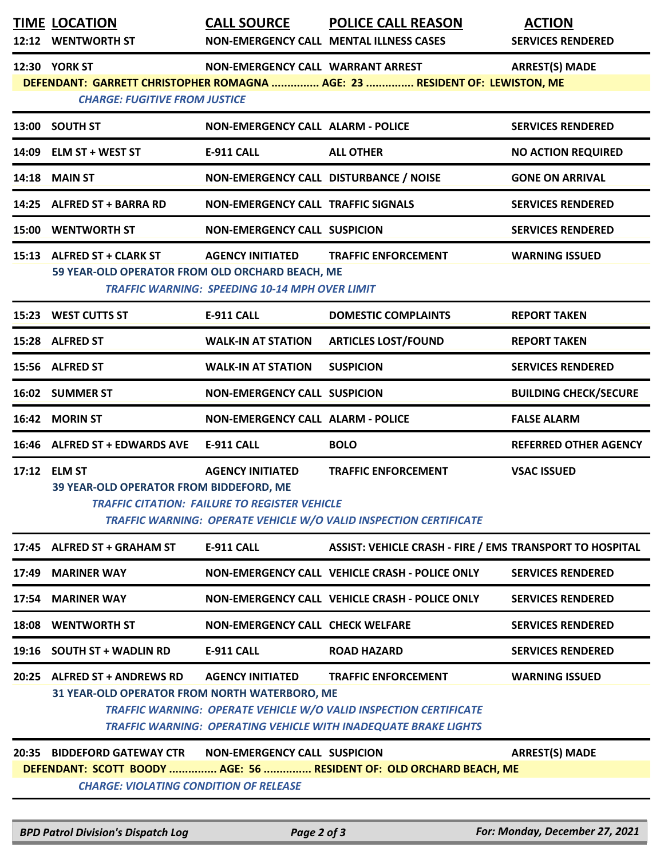| <b>TIME LOCATION</b><br>12:12 WENTWORTH ST                                                                                                                                                                          | <b>CALL SOURCE</b>                                                               | <b>POLICE CALL REASON</b><br>NON-EMERGENCY CALL MENTAL ILLNESS CASES                                                                                               | <b>ACTION</b><br><b>SERVICES RENDERED</b> |  |  |  |
|---------------------------------------------------------------------------------------------------------------------------------------------------------------------------------------------------------------------|----------------------------------------------------------------------------------|--------------------------------------------------------------------------------------------------------------------------------------------------------------------|-------------------------------------------|--|--|--|
| <b>12:30 YORK ST</b><br><b>CHARGE: FUGITIVE FROM JUSTICE</b>                                                                                                                                                        | NON-EMERGENCY CALL WARRANT ARREST                                                | DEFENDANT: GARRETT CHRISTOPHER ROMAGNA  AGE: 23  RESIDENT OF: LEWISTON, ME                                                                                         | <b>ARREST(S) MADE</b>                     |  |  |  |
| 13:00 SOUTH ST                                                                                                                                                                                                      | <b>NON-EMERGENCY CALL ALARM - POLICE</b>                                         |                                                                                                                                                                    | <b>SERVICES RENDERED</b>                  |  |  |  |
| 14:09 ELM ST + WEST ST                                                                                                                                                                                              | <b>E-911 CALL</b>                                                                | <b>ALL OTHER</b>                                                                                                                                                   | <b>NO ACTION REQUIRED</b>                 |  |  |  |
| <b>14:18 MAIN ST</b>                                                                                                                                                                                                | NON-EMERGENCY CALL DISTURBANCE / NOISE                                           |                                                                                                                                                                    | <b>GONE ON ARRIVAL</b>                    |  |  |  |
| 14:25 ALFRED ST + BARRA RD                                                                                                                                                                                          | <b>NON-EMERGENCY CALL TRAFFIC SIGNALS</b>                                        |                                                                                                                                                                    | <b>SERVICES RENDERED</b>                  |  |  |  |
| <b>15:00 WENTWORTH ST</b>                                                                                                                                                                                           | <b>NON-EMERGENCY CALL SUSPICION</b>                                              |                                                                                                                                                                    | <b>SERVICES RENDERED</b>                  |  |  |  |
| 15:13 ALFRED ST + CLARK ST<br>59 YEAR-OLD OPERATOR FROM OLD ORCHARD BEACH, ME                                                                                                                                       | <b>AGENCY INITIATED</b><br><b>TRAFFIC WARNING: SPEEDING 10-14 MPH OVER LIMIT</b> | <b>TRAFFIC ENFORCEMENT</b>                                                                                                                                         | <b>WARNING ISSUED</b>                     |  |  |  |
| 15:23 WEST CUTTS ST                                                                                                                                                                                                 | <b>E-911 CALL</b>                                                                | <b>DOMESTIC COMPLAINTS</b>                                                                                                                                         | <b>REPORT TAKEN</b>                       |  |  |  |
| 15:28 ALFRED ST                                                                                                                                                                                                     | <b>WALK-IN AT STATION</b>                                                        | <b>ARTICLES LOST/FOUND</b>                                                                                                                                         | <b>REPORT TAKEN</b>                       |  |  |  |
| 15:56 ALFRED ST                                                                                                                                                                                                     | <b>WALK-IN AT STATION</b>                                                        | <b>SUSPICION</b>                                                                                                                                                   | <b>SERVICES RENDERED</b>                  |  |  |  |
| 16:02 SUMMER ST                                                                                                                                                                                                     | <b>NON-EMERGENCY CALL SUSPICION</b>                                              |                                                                                                                                                                    | <b>BUILDING CHECK/SECURE</b>              |  |  |  |
| 16:42 MORIN ST                                                                                                                                                                                                      | <b>NON-EMERGENCY CALL ALARM - POLICE</b>                                         |                                                                                                                                                                    | <b>FALSE ALARM</b>                        |  |  |  |
| 16:46 ALFRED ST + EDWARDS AVE                                                                                                                                                                                       | <b>E-911 CALL</b>                                                                | <b>BOLO</b>                                                                                                                                                        | <b>REFERRED OTHER AGENCY</b>              |  |  |  |
| 17:12 ELM ST<br>39 YEAR-OLD OPERATOR FROM BIDDEFORD, ME                                                                                                                                                             | <b>AGENCY INITIATED</b><br><b>TRAFFIC CITATION: FAILURE TO REGISTER VEHICLE</b>  | <b>TRAFFIC ENFORCEMENT</b><br>TRAFFIC WARNING: OPERATE VEHICLE W/O VALID INSPECTION CERTIFICATE                                                                    | <b>VSAC ISSUED</b>                        |  |  |  |
| 17:45 ALFRED ST + GRAHAM ST                                                                                                                                                                                         | E-911 CALL                                                                       | ASSIST: VEHICLE CRASH - FIRE / EMS TRANSPORT TO HOSPITAL                                                                                                           |                                           |  |  |  |
| 17:49 MARINER WAY                                                                                                                                                                                                   |                                                                                  | NON-EMERGENCY CALL VEHICLE CRASH - POLICE ONLY                                                                                                                     | <b>SERVICES RENDERED</b>                  |  |  |  |
| 17:54 MARINER WAY                                                                                                                                                                                                   |                                                                                  | NON-EMERGENCY CALL VEHICLE CRASH - POLICE ONLY                                                                                                                     | <b>SERVICES RENDERED</b>                  |  |  |  |
| 18:08 WENTWORTH ST                                                                                                                                                                                                  | <b>NON-EMERGENCY CALL CHECK WELFARE</b>                                          |                                                                                                                                                                    | <b>SERVICES RENDERED</b>                  |  |  |  |
| 19:16 SOUTH ST + WADLIN RD                                                                                                                                                                                          | <b>E-911 CALL</b>                                                                | <b>ROAD HAZARD</b>                                                                                                                                                 | <b>SERVICES RENDERED</b>                  |  |  |  |
| 20:25 ALFRED ST + ANDREWS RD<br>31 YEAR-OLD OPERATOR FROM NORTH WATERBORO, ME                                                                                                                                       | <b>AGENCY INITIATED</b>                                                          | <b>TRAFFIC ENFORCEMENT</b><br>TRAFFIC WARNING: OPERATE VEHICLE W/O VALID INSPECTION CERTIFICATE<br>TRAFFIC WARNING: OPERATING VEHICLE WITH INADEQUATE BRAKE LIGHTS | <b>WARNING ISSUED</b>                     |  |  |  |
| 20:35 BIDDEFORD GATEWAY CTR<br><b>NON-EMERGENCY CALL SUSPICION</b><br><b>ARREST(S) MADE</b><br>DEFENDANT: SCOTT BOODY  AGE: 56  RESIDENT OF: OLD ORCHARD BEACH, ME<br><b>CHARGE: VIOLATING CONDITION OF RELEASE</b> |                                                                                  |                                                                                                                                                                    |                                           |  |  |  |

*BPD Patrol Division's Dispatch Log Page 2 of 3 For: Monday, December 27, 2021*